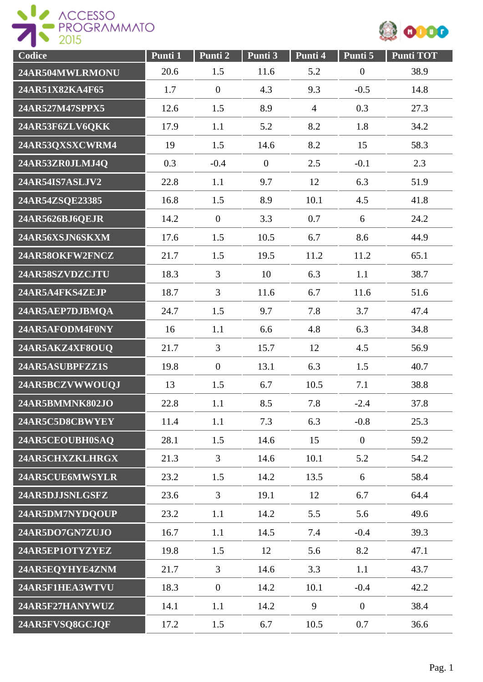

| Codice          | Punti 1 | Punti 2          | Punti 3        | Punti 4        | Punti 5          | <b>Punti TOT</b> |
|-----------------|---------|------------------|----------------|----------------|------------------|------------------|
| 24AR504MWLRMONU | 20.6    | 1.5              | 11.6           | 5.2            | $\boldsymbol{0}$ | 38.9             |
| 24AR51X82KA4F65 | 1.7     | $\overline{0}$   | 4.3            | 9.3            | $-0.5$           | 14.8             |
| 24AR527M47SPPX5 | 12.6    | 1.5              | 8.9            | $\overline{4}$ | 0.3              | 27.3             |
| 24AR53F6ZLV6QKK | 17.9    | 1.1              | 5.2            | 8.2            | 1.8              | 34.2             |
| 24AR53QXSXCWRM4 | 19      | 1.5              | 14.6           | 8.2            | 15               | 58.3             |
| 24AR53ZR0JLMJ4Q | 0.3     | $-0.4$           | $\overline{0}$ | 2.5            | $-0.1$           | 2.3              |
| 24AR54IS7ASLJV2 | 22.8    | 1.1              | 9.7            | 12             | 6.3              | 51.9             |
| 24AR54ZSQE23385 | 16.8    | 1.5              | 8.9            | 10.1           | 4.5              | 41.8             |
| 24AR5626BJ6QEJR | 14.2    | $\overline{0}$   | 3.3            | 0.7            | 6                | 24.2             |
| 24AR56XSJN6SKXM | 17.6    | 1.5              | 10.5           | 6.7            | 8.6              | 44.9             |
| 24AR58OKFW2FNCZ | 21.7    | 1.5              | 19.5           | 11.2           | 11.2             | 65.1             |
| 24AR58SZVDZCJTU | 18.3    | 3                | 10             | 6.3            | 1.1              | 38.7             |
| 24AR5A4FKS4ZEJP | 18.7    | $\overline{3}$   | 11.6           | 6.7            | 11.6             | 51.6             |
| 24AR5AEP7DJBMQA | 24.7    | 1.5              | 9.7            | 7.8            | 3.7              | 47.4             |
| 24AR5AFODM4F0NY | 16      | 1.1              | 6.6            | 4.8            | 6.3              | 34.8             |
| 24AR5AKZ4XF8OUQ | 21.7    | 3                | 15.7           | 12             | 4.5              | 56.9             |
| 24AR5ASUBPFZZ1S | 19.8    | $\boldsymbol{0}$ | 13.1           | 6.3            | 1.5              | 40.7             |
| 24AR5BCZVWWOUQJ | 13      | 1.5              | 6.7            | 10.5           | 7.1              | 38.8             |
| 24AR5BMMNK802JO | 22.8    | 1.1              | 8.5            | 7.8            | $-2.4$           | 37.8             |
| 24AR5C5D8CBWYEY | 11.4    | 1.1              | 7.3            | 6.3            | $-0.8$           | 25.3             |
| 24AR5CEOUBH0SAQ | 28.1    | 1.5              | 14.6           | 15             | $\boldsymbol{0}$ | 59.2             |
| 24AR5CHXZKLHRGX | 21.3    | $\overline{3}$   | 14.6           | 10.1           | 5.2              | 54.2             |
| 24AR5CUE6MWSYLR | 23.2    | 1.5              | 14.2           | 13.5           | 6                | 58.4             |
| 24AR5DJJSNLGSFZ | 23.6    | $\overline{3}$   | 19.1           | 12             | 6.7              | 64.4             |
| 24AR5DM7NYDQOUP | 23.2    | 1.1              | 14.2           | 5.5            | 5.6              | 49.6             |
| 24AR5DO7GN7ZUJO | 16.7    | 1.1              | 14.5           | 7.4            | $-0.4$           | 39.3             |
| 24AR5EP1OTYZYEZ | 19.8    | 1.5              | 12             | 5.6            | 8.2              | 47.1             |
| 24AR5EQYHYE4ZNM | 21.7    | 3                | 14.6           | 3.3            | 1.1              | 43.7             |
| 24AR5F1HEA3WTVU | 18.3    | $\boldsymbol{0}$ | 14.2           | 10.1           | $-0.4$           | 42.2             |
| 24AR5F27HANYWUZ | 14.1    | 1.1              | 14.2           | 9              | $\boldsymbol{0}$ | 38.4             |
| 24AR5FVSQ8GCJQF | 17.2    | 1.5              | 6.7            | 10.5           | 0.7              | 36.6             |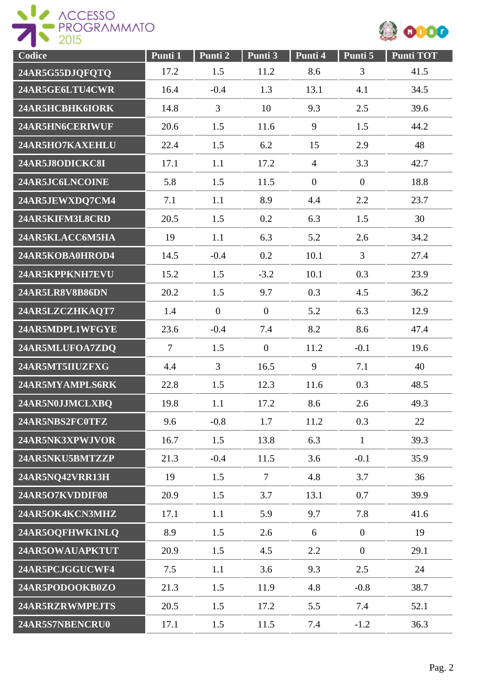



| Codice          | Punti 1        | Punti 2        | Punti 3          | Punti 4        | Punti 5        | Punti TOT |
|-----------------|----------------|----------------|------------------|----------------|----------------|-----------|
| 24AR5G55DJQFQTQ | 17.2           | 1.5            | 11.2             | 8.6            | 3              | 41.5      |
| 24AR5GE6LTU4CWR | 16.4           | $-0.4$         | 1.3              | 13.1           | 4.1            | 34.5      |
| 24AR5HCBHK6IORK | 14.8           | 3              | 10               | 9.3            | 2.5            | 39.6      |
| 24AR5HN6CERIWUF | 20.6           | 1.5            | 11.6             | 9              | 1.5            | 44.2      |
| 24AR5HO7KAXEHLU | 22.4           | 1.5            | 6.2              | 15             | 2.9            | 48        |
| 24AR5J8ODICKC8I | 17.1           | 1.1            | 17.2             | $\overline{4}$ | 3.3            | 42.7      |
| 24AR5JC6LNCOINE | 5.8            | 1.5            | 11.5             | $\overline{0}$ | $\mathbf{0}$   | 18.8      |
| 24AR5JEWXDQ7CM4 | 7.1            | 1.1            | 8.9              | 4.4            | 2.2            | 23.7      |
| 24AR5KIFM3L8CRD | 20.5           | 1.5            | 0.2              | 6.3            | 1.5            | 30        |
| 24AR5KLACC6M5HA | 19             | 1.1            | 6.3              | 5.2            | 2.6            | 34.2      |
| 24AR5KOBA0HROD4 | 14.5           | $-0.4$         | 0.2              | 10.1           | $\overline{3}$ | 27.4      |
| 24AR5KPPKNH7EVU | 15.2           | 1.5            | $-3.2$           | 10.1           | 0.3            | 23.9      |
| 24AR5LR8V8B86DN | 20.2           | 1.5            | 9.7              | 0.3            | 4.5            | 36.2      |
| 24AR5LZCZHKAQT7 | 1.4            | $\overline{0}$ | $\overline{0}$   | 5.2            | 6.3            | 12.9      |
| 24AR5MDPL1WFGYE | 23.6           | $-0.4$         | 7.4              | 8.2            | 8.6            | 47.4      |
| 24AR5MLUFOA7ZDQ | $\overline{7}$ | 1.5            | $\boldsymbol{0}$ | 11.2           | $-0.1$         | 19.6      |
| 24AR5MT5IIUZFXG | 4.4            | 3              | 16.5             | 9              | 7.1            | 40        |
| 24AR5MYAMPLS6RK | 22.8           | 1.5            | 12.3             | 11.6           | 0.3            | 48.5      |
| 24AR5N0JJMCLXBQ | 19.8           | 1.1            | 17.2             | 8.6            | 2.6            | 49.3      |
| 24AR5NBS2FC0TFZ | 9.6            | $-0.8$         | 1.7              | 11.2           | 0.3            | 22        |
| 24AR5NK3XPWJVOR | 16.7           | 1.5            | 13.8             | 6.3            | $\mathbf{1}$   | 39.3      |
| 24AR5NKU5BMTZZP | 21.3           | $-0.4$         | 11.5             | 3.6            | $-0.1$         | 35.9      |
| 24AR5NQ42VRR13H | 19             | 1.5            | $\overline{7}$   | 4.8            | 3.7            | 36        |
| 24AR5O7KVDDIF08 | 20.9           | 1.5            | 3.7              | 13.1           | 0.7            | 39.9      |
| 24AR5OK4KCN3MHZ | 17.1           | 1.1            | 5.9              | 9.7            | 7.8            | 41.6      |
| 24AR5OQFHWK1NLQ | 8.9            | 1.5            | 2.6              | 6              | $\overline{0}$ | 19        |
| 24AR5OWAUAPKTUT | 20.9           | 1.5            | 4.5              | 2.2            | $\overline{0}$ | 29.1      |
| 24AR5PCJGGUCWF4 | 7.5            | 1.1            | 3.6              | 9.3            | 2.5            | 24        |
| 24AR5PODOOKB0ZO | 21.3           | 1.5            | 11.9             | 4.8            | $-0.8$         | 38.7      |
| 24AR5RZRWMPEJTS | 20.5           | 1.5            | 17.2             | 5.5            | 7.4            | 52.1      |
| 24AR5S7NBENCRU0 | 17.1           | 1.5            | 11.5             | 7.4            | $-1.2$         | 36.3      |